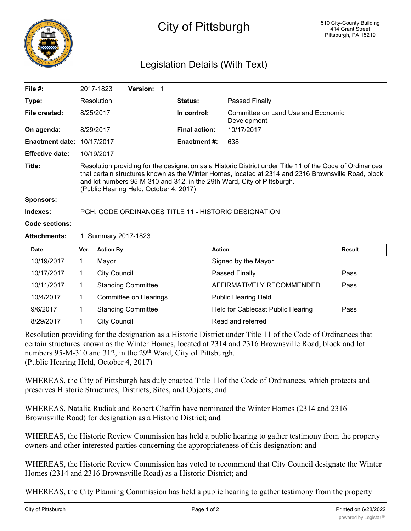

## City of Pittsburgh

## Legislation Details (With Text)

| File $#$ :             |                                                                                                                                                                                                                                                                                                                                      | Version:<br>2017-1823     |                      |                                                          |               |
|------------------------|--------------------------------------------------------------------------------------------------------------------------------------------------------------------------------------------------------------------------------------------------------------------------------------------------------------------------------------|---------------------------|----------------------|----------------------------------------------------------|---------------|
| Type:                  |                                                                                                                                                                                                                                                                                                                                      | Resolution                | Status:              | Passed Finally                                           |               |
| File created:          |                                                                                                                                                                                                                                                                                                                                      | 8/25/2017                 | In control:          | <b>Committee on Land Use and Economic</b><br>Development |               |
| On agenda:             |                                                                                                                                                                                                                                                                                                                                      | 8/29/2017                 | <b>Final action:</b> | 10/17/2017                                               |               |
| <b>Enactment date:</b> |                                                                                                                                                                                                                                                                                                                                      | 10/17/2017                | <b>Enactment #:</b>  | 638                                                      |               |
| <b>Effective date:</b> | 10/19/2017                                                                                                                                                                                                                                                                                                                           |                           |                      |                                                          |               |
| Title:                 | Resolution providing for the designation as a Historic District under Title 11 of the Code of Ordinances<br>that certain structures known as the Winter Homes, located at 2314 and 2316 Brownsville Road, block<br>and lot numbers 95-M-310 and 312, in the 29th Ward, City of Pittsburgh.<br>(Public Hearing Held, October 4, 2017) |                           |                      |                                                          |               |
| <b>Sponsors:</b>       |                                                                                                                                                                                                                                                                                                                                      |                           |                      |                                                          |               |
| Indexes:               | PGH. CODE ORDINANCES TITLE 11 - HISTORIC DESIGNATION                                                                                                                                                                                                                                                                                 |                           |                      |                                                          |               |
| Code sections:         |                                                                                                                                                                                                                                                                                                                                      |                           |                      |                                                          |               |
| <b>Attachments:</b>    | 1. Summary 2017-1823                                                                                                                                                                                                                                                                                                                 |                           |                      |                                                          |               |
| <b>Date</b>            | Ver.                                                                                                                                                                                                                                                                                                                                 | <b>Action By</b>          | <b>Action</b>        |                                                          | <b>Result</b> |
| 10/19/2017             | 1                                                                                                                                                                                                                                                                                                                                    | Mayor                     |                      | Signed by the Mayor                                      |               |
| 10/17/2017             | $\mathbf 1$                                                                                                                                                                                                                                                                                                                          | <b>City Council</b>       |                      | Passed Finally                                           | Pass          |
| 10/11/2017             | 1                                                                                                                                                                                                                                                                                                                                    | <b>Standing Committee</b> |                      | AFFIRMATIVELY RECOMMENDED                                | Pass          |
| 10/4/2017              | 1                                                                                                                                                                                                                                                                                                                                    | Committee on Hearings     |                      | <b>Public Hearing Held</b>                               |               |
| 9/6/2017               | 1                                                                                                                                                                                                                                                                                                                                    | <b>Standing Committee</b> |                      | Held for Cablecast Public Hearing                        | Pass          |
| 8/29/2017              | 1                                                                                                                                                                                                                                                                                                                                    | <b>City Council</b>       |                      | Read and referred                                        |               |
|                        |                                                                                                                                                                                                                                                                                                                                      |                           |                      |                                                          |               |

Resolution providing for the designation as a Historic District under Title 11 of the Code of Ordinances that certain structures known as the Winter Homes, located at 2314 and 2316 Brownsville Road, block and lot numbers 95-M-310 and 312, in the 29<sup>th</sup> Ward, City of Pittsburgh. (Public Hearing Held, October 4, 2017)

WHEREAS, the City of Pittsburgh has duly enacted Title 11of the Code of Ordinances, which protects and preserves Historic Structures, Districts, Sites, and Objects; and

WHEREAS, Natalia Rudiak and Robert Chaffin have nominated the Winter Homes (2314 and 2316 Brownsville Road) for designation as a Historic District; and

WHEREAS, the Historic Review Commission has held a public hearing to gather testimony from the property owners and other interested parties concerning the appropriateness of this designation; and

WHEREAS, the Historic Review Commission has voted to recommend that City Council designate the Winter Homes (2314 and 2316 Brownsville Road) as a Historic District; and

WHEREAS, the City Planning Commission has held a public hearing to gather testimony from the property